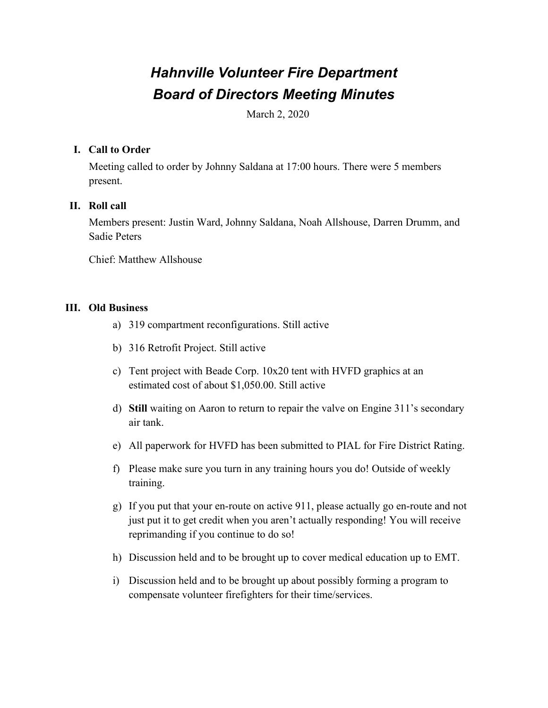# *Hahnville Volunteer Fire Department Board of Directors Meeting Minutes*

March 2, 2020

## **I. Call to Order**

Meeting called to order by Johnny Saldana at 17:00 hours. There were 5 members present.

## **II. Roll call**

Members present: Justin Ward, Johnny Saldana, Noah Allshouse, Darren Drumm, and Sadie Peters

Chief: Matthew Allshouse

### **III. Old Business**

- a) 319 compartment reconfigurations. Still active
- b) 316 Retrofit Project. Still active
- c) Tent project with Beade Corp. 10x20 tent with HVFD graphics at an estimated cost of about \$1,050.00. Still active
- d) **Still** waiting on Aaron to return to repair the valve on Engine 311's secondary air tank.
- e) All paperwork for HVFD has been submitted to PIAL for Fire District Rating.
- f) Please make sure you turn in any training hours you do! Outside of weekly training.
- g) If you put that your en-route on active 911, please actually go en-route and not just put it to get credit when you aren't actually responding! You will receive reprimanding if you continue to do so!
- h) Discussion held and to be brought up to cover medical education up to EMT.
- i) Discussion held and to be brought up about possibly forming a program to compensate volunteer firefighters for their time/services.